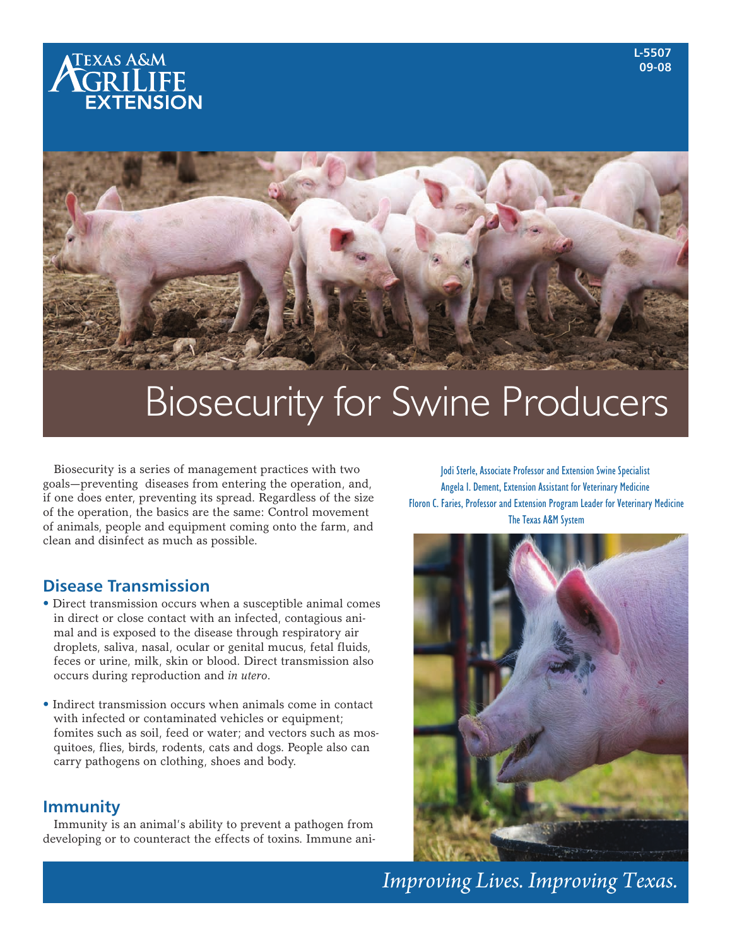



# Biosecurity for Swine Producers

Biosecurity is a series of management practices with two goals—preventing diseases from entering the operation, and, if one does enter, preventing its spread. Regardless of the size of the operation, the basics are the same: Control movement of animals, people and equipment coming onto the farm, and clean and disinfect as much as possible.

# **Disease Transmission**

- Direct transmission occurs when a susceptible animal comes in direct or close contact with an infected, contagious animal and is exposed to the disease through respiratory air droplets, saliva, nasal, ocular or genital mucus, fetal fluids, feces or urine, milk, skin or blood. Direct transmission also occurs during reproduction and *in utero*.
- Indirect transmission occurs when animals come in contact with infected or contaminated vehicles or equipment; fomites such as soil, feed or water; and vectors such as mosquitoes, flies, birds, rodents, cats and dogs. People also can carry pathogens on clothing, shoes and body.

# **Immunity**

Immunity is an animal's ability to prevent a pathogen from developing or to counteract the effects of toxins. Immune ani-

Jodi Sterle, Associate Professor and Extension Swine Specialist Angela I. Dement, Extension Assistant for Veterinary Medicine Floron C. Faries, Professor and Extension Program Leader for Veterinary Medicine The Texas A&M System



*Improving Lives. Improving Texas.*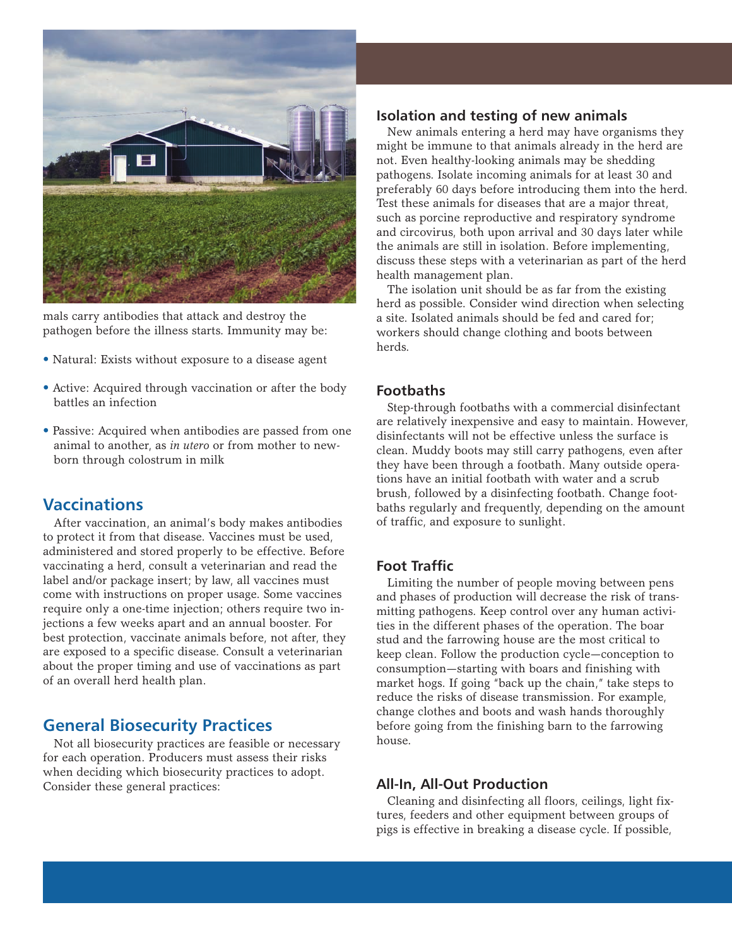

mals carry antibodies that attack and destroy the pathogen before the illness starts. Immunity may be:

- Natural: Exists without exposure to a disease agent
- Active: Acquired through vaccination or after the body battles an infection
- Passive: Acquired when antibodies are passed from one animal to another, as *in utero* or from mother to newborn through colostrum in milk

# **Vaccinations**

After vaccination, an animal's body makes antibodies to protect it from that disease. Vaccines must be used, administered and stored properly to be effective. Before vaccinating a herd, consult a veterinarian and read the label and/or package insert; by law, all vaccines must come with instructions on proper usage. Some vaccines require only a one-time injection; others require two injections a few weeks apart and an annual booster. For best protection, vaccinate animals before, not after, they are exposed to a specific disease. Consult a veterinarian about the proper timing and use of vaccinations as part of an overall herd health plan.

# **General Biosecurity Practices**

Not all biosecurity practices are feasible or necessary for each operation. Producers must assess their risks when deciding which biosecurity practices to adopt. Consider these general practices:

## **Isolation and testing of new animals**

New animals entering a herd may have organisms they might be immune to that animals already in the herd are not. Even healthy-looking animals may be shedding pathogens. Isolate incoming animals for at least 30 and preferably 60 days before introducing them into the herd. Test these animals for diseases that are a major threat, such as porcine reproductive and respiratory syndrome and circovirus, both upon arrival and 30 days later while the animals are still in isolation. Before implementing, discuss these steps with a veterinarian as part of the herd health management plan.

The isolation unit should be as far from the existing herd as possible. Consider wind direction when selecting a site. Isolated animals should be fed and cared for; workers should change clothing and boots between herds.

## **Footbaths**

Step-through footbaths with a commercial disinfectant are relatively inexpensive and easy to maintain. However, disinfectants will not be effective unless the surface is clean. Muddy boots may still carry pathogens, even after they have been through a footbath. Many outside operations have an initial footbath with water and a scrub brush, followed by a disinfecting footbath. Change footbaths regularly and frequently, depending on the amount of traffic, and exposure to sunlight.

## **Foot Traffic**

Limiting the number of people moving between pens and phases of production will decrease the risk of transmitting pathogens. Keep control over any human activities in the different phases of the operation. The boar stud and the farrowing house are the most critical to keep clean. Follow the production cycle—conception to consumption—starting with boars and finishing with market hogs. If going "back up the chain," take steps to reduce the risks of disease transmission. For example, change clothes and boots and wash hands thoroughly before going from the finishing barn to the farrowing house.

### **All-In, All-Out Production**

Cleaning and disinfecting all floors, ceilings, light fixtures, feeders and other equipment between groups of pigs is effective in breaking a disease cycle. If possible,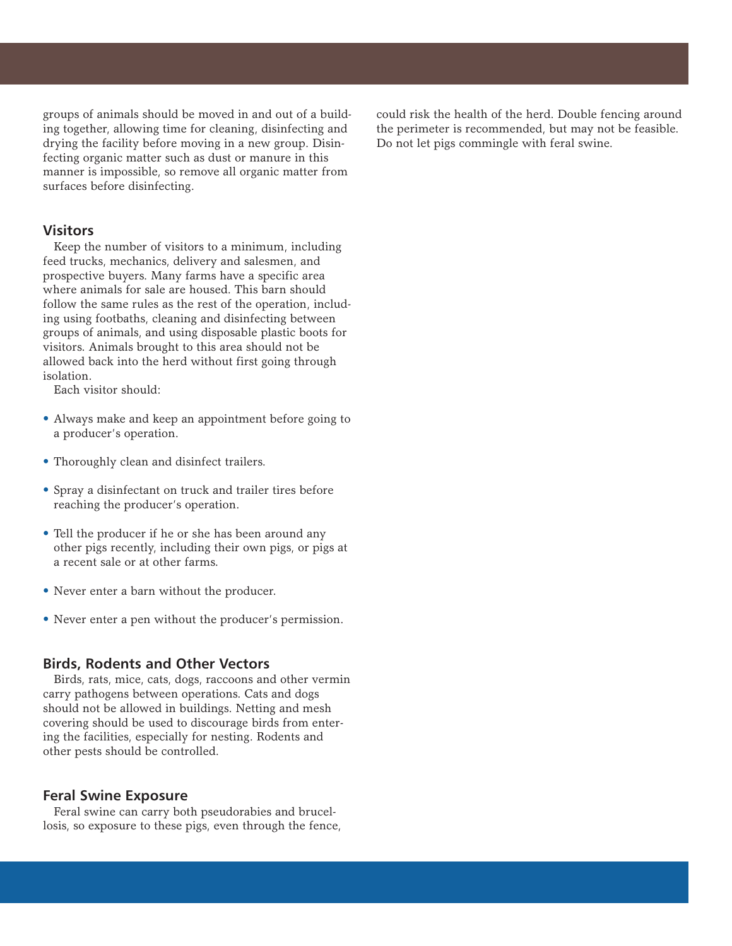groups of animals should be moved in and out of a building together, allowing time for cleaning, disinfecting and drying the facility before moving in a new group. Disinfecting organic matter such as dust or manure in this manner is impossible, so remove all organic matter from surfaces before disinfecting.

#### **Visitors**

Keep the number of visitors to a minimum, including feed trucks, mechanics, delivery and salesmen, and prospective buyers. Many farms have a specific area where animals for sale are housed. This barn should follow the same rules as the rest of the operation, including using footbaths, cleaning and disinfecting between groups of animals, and using disposable plastic boots for visitors. Animals brought to this area should not be allowed back into the herd without first going through isolation.

Each visitor should:

- Always make and keep an appointment before going to a producer's operation.
- Thoroughly clean and disinfect trailers.
- Spray a disinfectant on truck and trailer tires before reaching the producer's operation.
- Tell the producer if he or she has been around any other pigs recently, including their own pigs, or pigs at a recent sale or at other farms.
- Never enter a barn without the producer.
- Never enter a pen without the producer's permission.

#### **Birds, Rodents and Other Vectors**

Birds, rats, mice, cats, dogs, raccoons and other vermin carry pathogens between operations. Cats and dogs should not be allowed in buildings. Netting and mesh covering should be used to discourage birds from entering the facilities, especially for nesting. Rodents and other pests should be controlled.

#### **Feral Swine Exposure**

Feral swine can carry both pseudorabies and brucellosis, so exposure to these pigs, even through the fence, could risk the health of the herd. Double fencing around the perimeter is recommended, but may not be feasible. Do not let pigs commingle with feral swine.